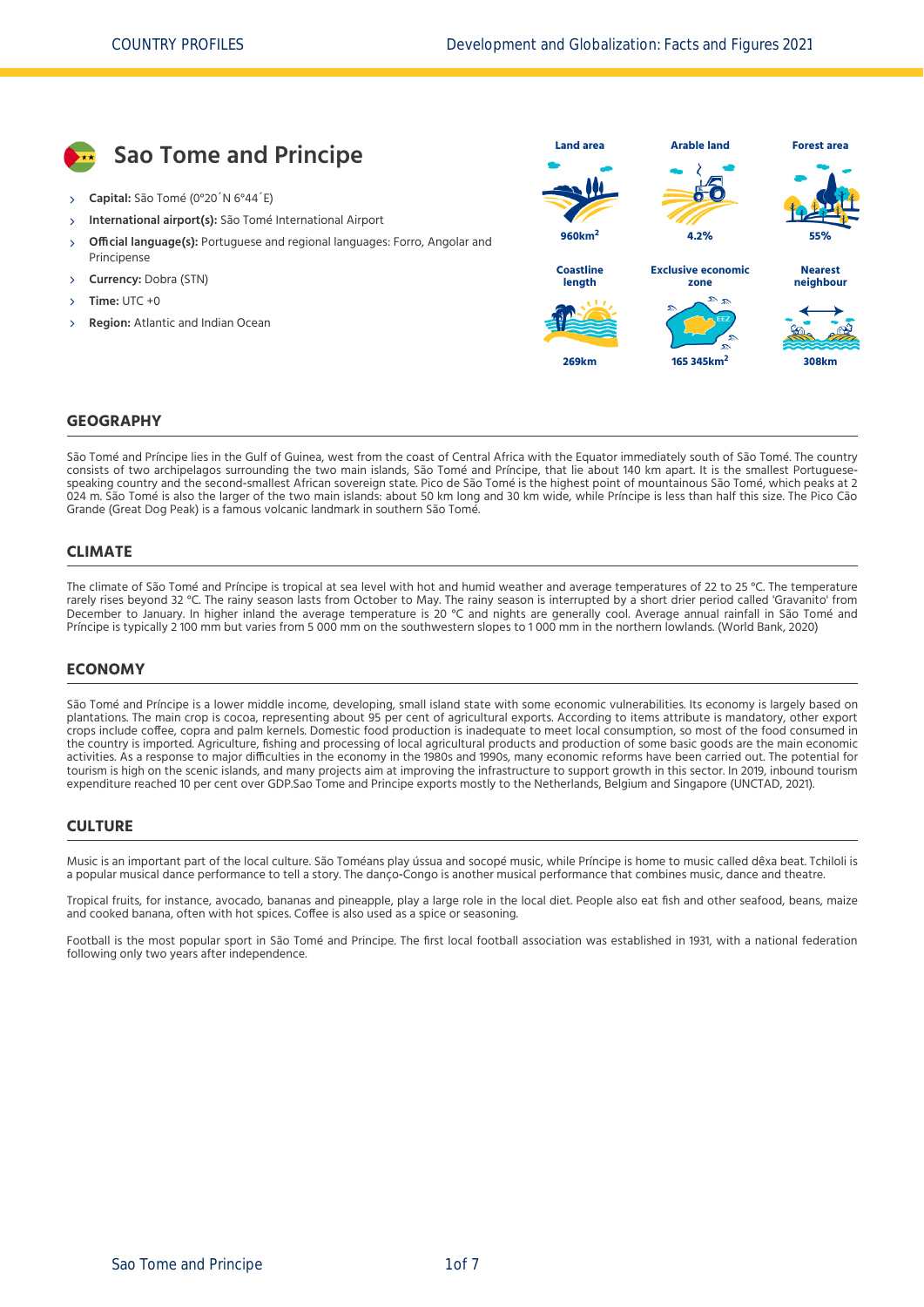

### **GEOGRAPHY**

São Tomé and Príncipe lies in the Gulf of Guinea, west from the coast of Central Africa with the Equator immediately south of São Tomé. The country consists of two archipelagos surrounding the two main islands, São Tomé and Príncipe, that lie about 140 km apart. It is the smallest Portuguese speaking country and the second-smallest African sovereign state. Pico de São Tomé is the highest point of mountainous São Tomé, which peaks at 2 024 m. São Tomé is also the larger of the two main islands: about 50 km long and 30 km wide, while Príncipe is less than half this size. The Pico Cão Grande (Great Dog Peak) is a famous volcanic landmark in southern São Tomé.

### **CLIMATE**

The climate of São Tomé and Príncipe is tropical at sea level with hot and humid weather and average temperatures of 22 to 25 °C. The temperature rarely rises beyond 32 °C. The rainy season lasts from October to May. The rainy season is interrupted by a short drier period called 'Gravanito' from December to January. In higher inland the average temperature is 20 °C and nights are generally cool. Average annual rainfall in São Tomé and Príncipe is typically 2 100 mm but varies from 5 000 mm on the southwestern slopes to 1 000 mm in the northern lowlands. [\(World Bank, 2020\)](#page-6-0)

#### **ECONOMY**

São Tomé and Príncipe is a lower middle income, developing, small island state with some economic vulnerabilities. Its economy is largely based on plantations. The main crop is cocoa, representing about 95 per cent of agricultural exports. According to items attribute is mandatory, other export crops include coffee, copra and palm kernels. Domestic food production is inadequate to meet local consumption, so most of the food consumed in the country is imported. Agriculture, fishing and processing of local agricultural products and production of some basic goods are the main economic activities. As a response to major difficulties in the economy in the 1980s and 1990s, many economic reforms have been carried out. The potential for tourism is high on the scenic islands, and many projects aim at improving the infrastructure to support growth in this sector. In 2019, inbound tourism expenditure reached 10 per cent over GDP.Sao Tome and Principe exports mostly to the Netherlands, Belgium and Singapore [\(UNCTAD, 2021\).](#page-6-1)

#### **CULTURE**

Music is an important part of the local culture. São Toméans play ússua and socopé music, while Príncipe is home to music called dêxa beat. Tchiloli is a popular musical dance performance to tell a story. The danço‐Congo is another musical performance that combines music, dance and theatre.

Tropical fruits, for instance, avocado, bananas and pineapple, play a large role in the local diet. People also eat fish and other seafood, beans, maize and cooked banana, often with hot spices. Coffee is also used as a spice or seasoning.

Football is the most popular sport in São Tomé and Principe. The first local football association was established in 1931, with a national federation following only two years after independence.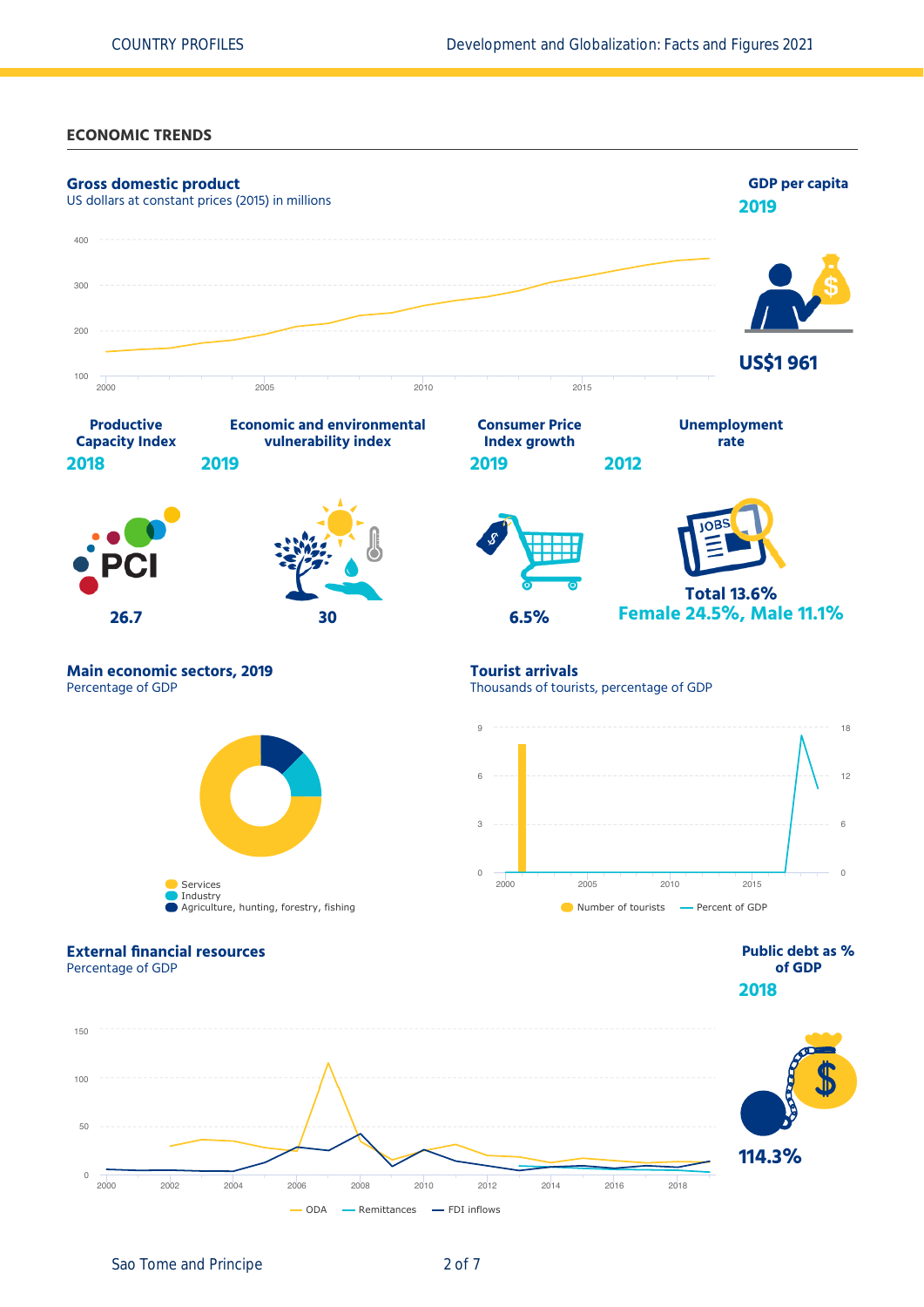**ECONOMIC TRENDS**



Sao Tome and Principe 2 of 7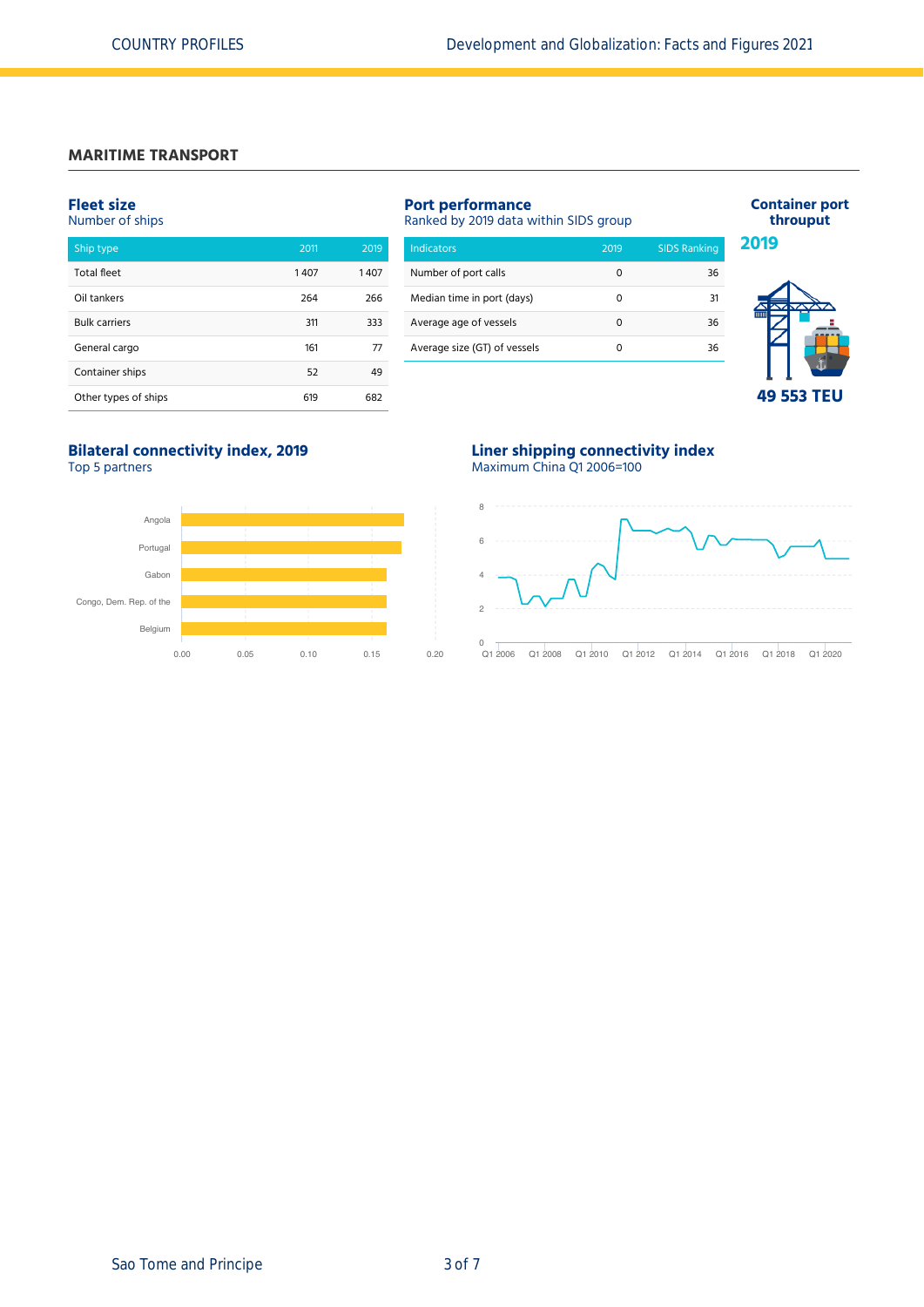# **MARITIME TRANSPORT**

## **Fleet size**

|  | Number of ships |  |  |  |  |
|--|-----------------|--|--|--|--|
|--|-----------------|--|--|--|--|

| Ship type            | 2011 | 2019 |
|----------------------|------|------|
| <b>Total fleet</b>   | 1407 | 1407 |
| Oil tankers          | 264  | 266  |
| <b>Bulk carriers</b> | 311  | 333  |
| General cargo        | 161  | 77   |
| Container ships      | 52   | 49   |
| Other types of ships | 619  | 682  |

| <b>Port performance</b><br>Ranked by 2019 data within SIDS group |      |                     |  |  |  |  |
|------------------------------------------------------------------|------|---------------------|--|--|--|--|
| Indicators                                                       | 2019 | <b>SIDS Ranking</b> |  |  |  |  |
| Number of port calls                                             | Ω    | 36                  |  |  |  |  |
| Median time in port (days)                                       | ი    | 31                  |  |  |  |  |
| Average age of vessels                                           | Ω    | 36                  |  |  |  |  |
| Average size (GT) of vessels                                     | n    | 36                  |  |  |  |  |
|                                                                  |      |                     |  |  |  |  |



**Container port throuput**

## **49 553 TEU**

# **Bilateral connectivity index, 2019**

Top 5 partners



## **Liner shipping connectivity index** Maximum China Q1 2006=100

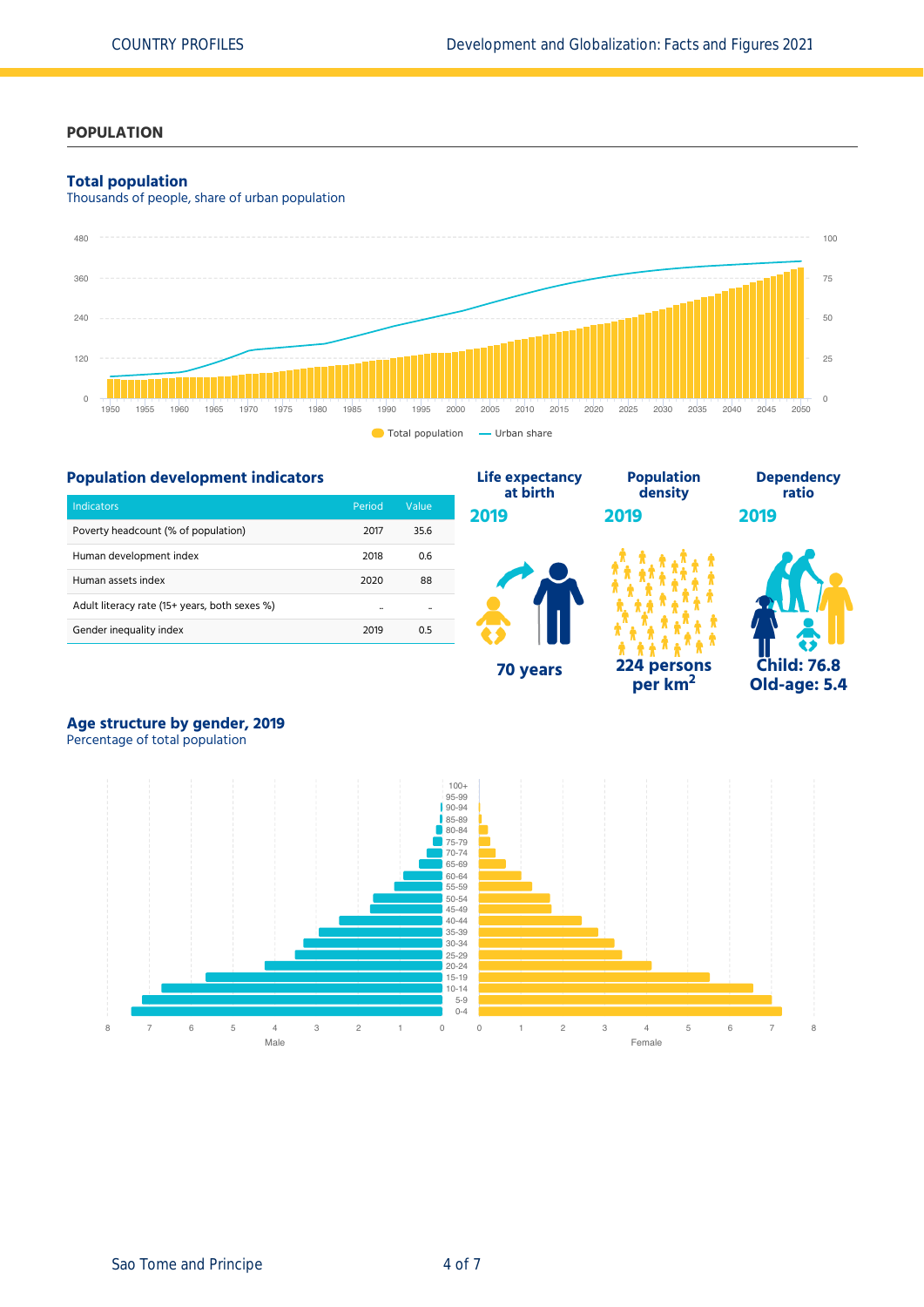## **POPULATION**

### **Total population**

Thousands of people, share of urban population





# **Age structure by gender, 2019**

Percentage of total population

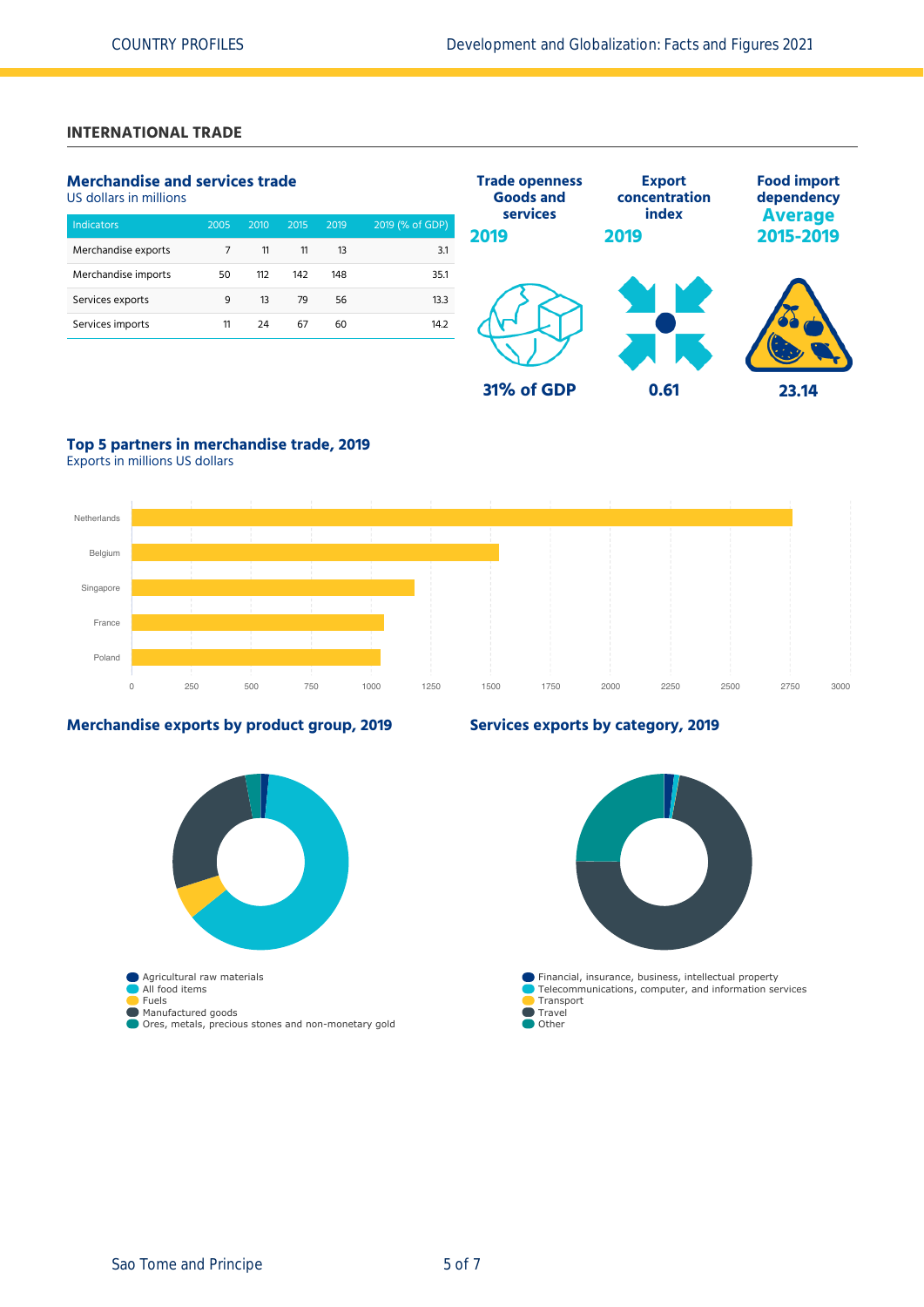# **INTERNATIONAL TRADE**

# **Merchandise and services trade**

US dollars in millions

| 2005 | 2010 | 2015 | 2019 | 2019 (% of GDP) |
|------|------|------|------|-----------------|
| 7    | 11   | 11   | 13   | 3.1             |
| 50   | 112  | 142  | 148  | 35.1            |
| 9    | 13   | 79   | 56   | 13.3            |
| 11   | 24   | 67   | 60   | 14.2            |
|      |      |      |      |                 |



# **Top 5 partners in merchandise trade, 2019**

Exports in millions US dollars



## **Merchandise exports by product group, 2019**



# **Services exports by category, 2019**

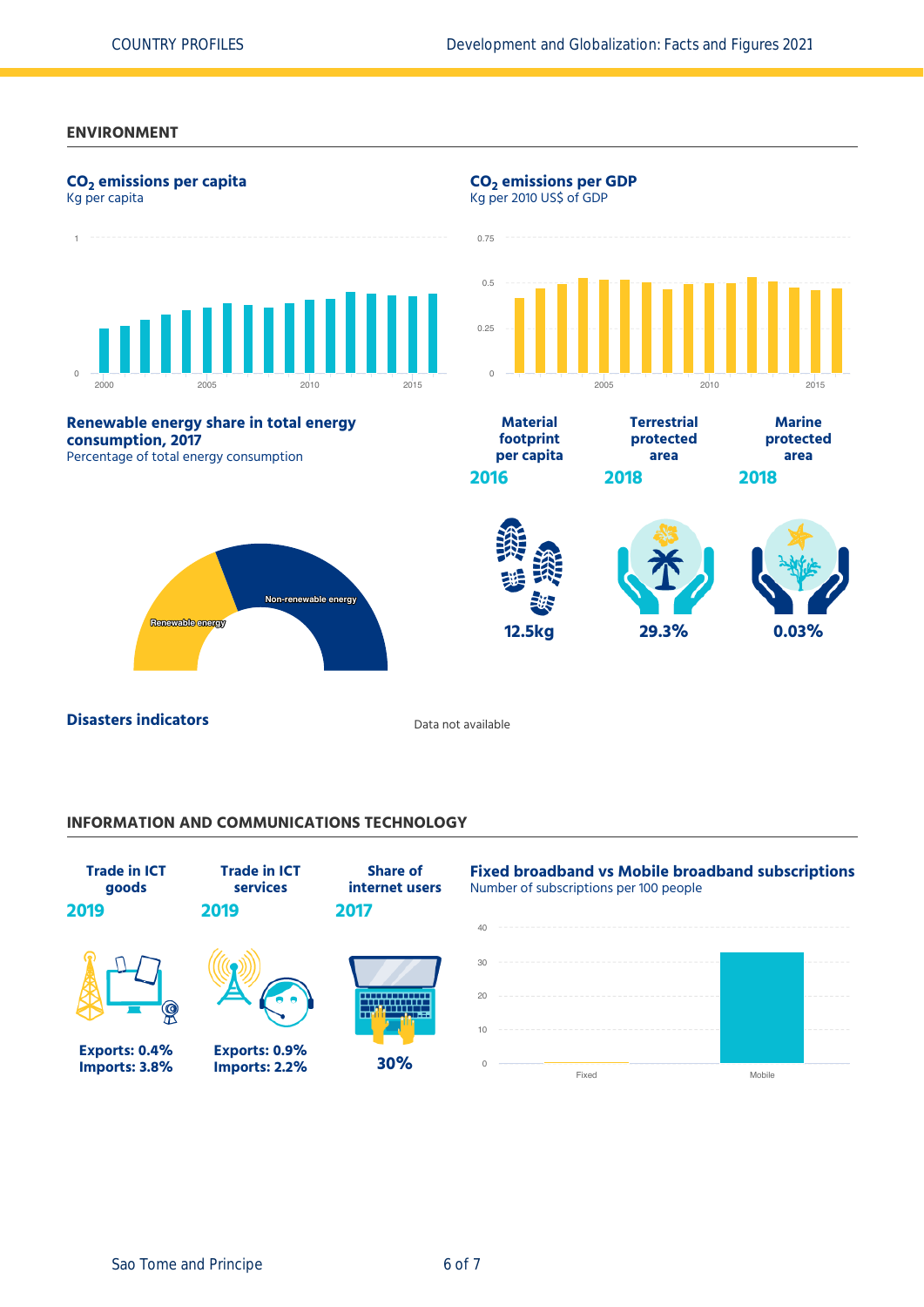### **ENVIRONMENT**



## **INFORMATION AND COMMUNICATIONS TECHNOLOGY**